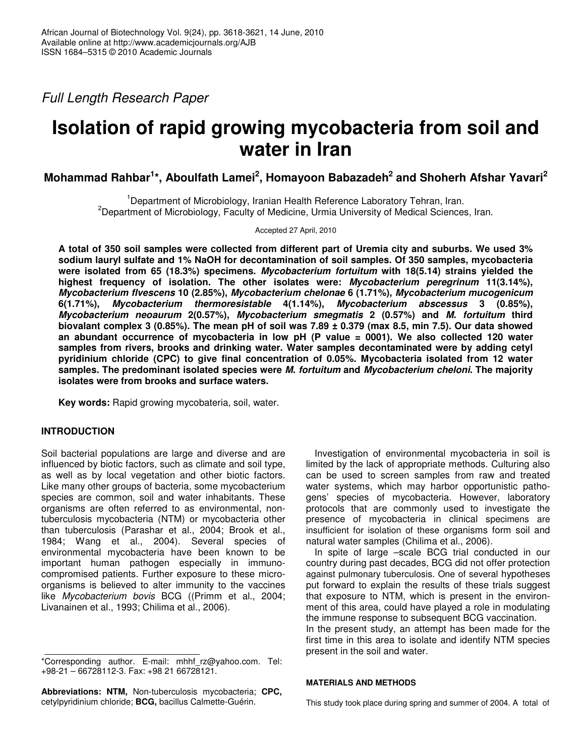*Full Length Research Paper*

# **Isolation of rapid growing mycobacteria from soil and water in Iran**

**Mohammad Rahbar 1 \*, Aboulfath Lamei 2 , Homayoon Babazadeh 2 and Shoherh Afshar Yavari 2**

<sup>1</sup>Department of Microbiology, Iranian Health Reference Laboratory Tehran, Iran. <sup>2</sup>Department of Microbiology, Faculty of Medicine, Urmia University of Medical Sciences, Iran.

Accepted 27 April, 2010

A total of 350 soil samples were collected from different part of Uremia city and suburbs. We used 3% **sodium lauryl sulfate and 1% NaOH for decontamination of soil samples. Of 350 samples, mycobacteria were isolated from 65 (18.3%) specimens.** *Mycobacterium fortuitum* **with 18(5.14) strains yielded the highest frequency of isolation. The other isolates were:** *Mycobacterium peregrinum* **11(3.14%),** *Mycobacterium flvescens* **10 (2.85%),** *Mycobacterium chelonae* **6 (1.71%),** *Mycobacterium mucogenicum* **6(1.71%),** *Mycobacterium thermoresistable* **4(1.14%),** *Mycobacterium abscessus* **3 (0.85%),** *Mycobacterium neoaurum* **2(0.57%),** *Mycobacterium smegmatis* **2 (0.57%) and** *M. fortuitum* **third** biovalant complex 3 (0.85%). The mean pH of soil was  $7.89 \pm 0.379$  (max 8.5, min 7.5). Our data showed **an abundant occurrence of mycobacteria in low pH (P value = 0001). We also collected 120 water samples from rivers, brooks and drinking water. Water samples decontaminated were by adding cetyl pyridinium chloride (CPC) to give final concentration of 0.05%. Mycobacteria isolated from 12 water samples. The predominant isolated species were** *M. fortuitum* **and** *Mycobacterium cheloni***. The majority isolates were from brooks and surface waters.**

**Key words:** Rapid growing mycobateria, soil, water.

# **INTRODUCTION**

Soil bacterial populations are large and diverse and are influenced by biotic factors, such as climate and soil type, as well as by local vegetation and other biotic factors. Like many other groups of bacteria, some mycobacterium species are common, soil and water inhabitants. These organisms are often referred to as environmental, nontuberculosis mycobacteria (NTM) or mycobacteria other than tuberculosis (Parashar et al., 2004; Brook et al., 1984; Wang et al., 2004). Several species of environmental mycobacteria have been known to be important human pathogen especially in immunocompromised patients. Further exposure to these microorganisms is believed to alter immunity to the vaccines like *Mycobacterium bovis* BCG ((Primm et al., 2004; Livanainen et al., 1993; Chilima et al., 2006).

**Abbreviations: NTM,** Non-tuberculosis mycobacteria; **CPC,** cetylpyridinium chloride; **BCG,** bacillus Calmette-Guérin.

Investigation of environmental mycobacteria in soil is limited by the lack of appropriate methods. Culturing also can be used to screen samples from raw and treated water systems, which may harbor opportunistic pathogens' species of mycobacteria. However, laboratory protocols that are commonly used to investigate the presence of mycobacteria in clinical specimens are insufficient for isolation of these organisms form soil and natural water samples (Chilima et al., 2006).

In spite of large –scale BCG trial conducted in our country during past decades, BCG did not offer protection against pulmonary tuberculosis. One of several hypotheses put forward to explain the results of these trials suggest that exposure to NTM, which is present in the environment of this area, could have played a role in modulating the immune response to subsequent BCG vaccination. In the present study, an attempt has been made for the

first time in this area to isolate and identify NTM species present in the soil and water.

### **MATERIALS AND METHODS**

This study took place during spring and summer of 2004. A total of

<sup>\*</sup>Corresponding author. E-mail: mhhf\_rz@yahoo.com. Tel: +98-21 – 66728112-3. Fax: +98 21 66728121.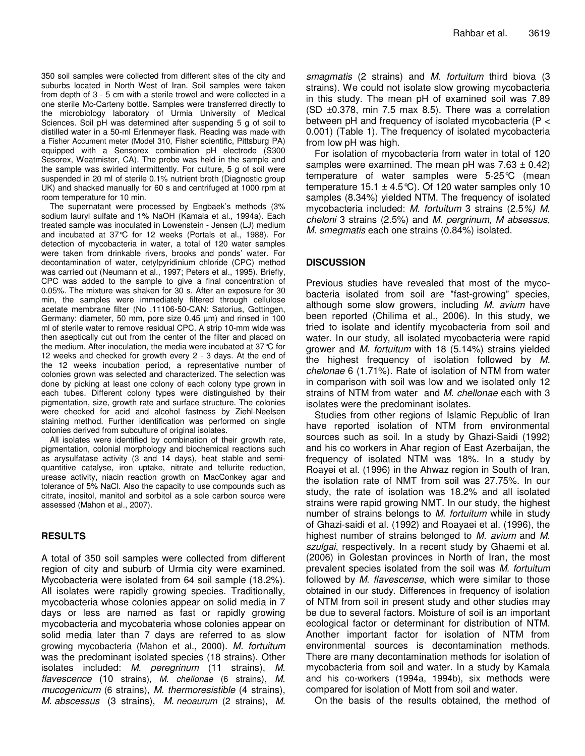350 soil samples were collected from different sites of the city and suburbs located in North West of Iran. Soil samples were taken from depth of 3 - 5 cm with a sterile trowel and were collected in a one sterile Mc-Carteny bottle. Samples were transferred directly to the microbiology laboratory of Urmia University of Medical Sciences. Soil pH was determined after suspending 5 g of soil to distilled water in a 50-ml Erlenmeyer flask. Reading was made with a Fisher Accument meter (Model 310, Fisher scientific, Pittsburg PA) equipped with a Sensorex combination pH electrode (S300 Sesorex, Weatmister, CA). The probe was held in the sample and the sample was swirled intermittently. For culture, 5 g of soil were suspended in 20 ml of sterile 0.1% nutrient broth (Diagnostic group UK) and shacked manually for 60 s and centrifuged at 1000 rpm at room temperature for 10 min.

The supernatant were processed by Engbaek's methods (3% sodium lauryl sulfate and 1% NaOH (Kamala et al., 1994a). Each treated sample was inoculated in Lowenstein - Jensen (LJ) medium and incubated at 37°C for 12 weeks (Portals et al., 1988). For detection of mycobacteria in water, a total of 120 water samples were taken from drinkable rivers, brooks and ponds' water. For decontamination of water, cetylpyridinium chloride (CPC) method was carried out (Neumann et al., 1997; Peters et al., 1995). Briefly, CPC was added to the sample to give a final concentration of 0.05%. The mixture was shaken for 30 s. After an exposure for 30 min, the samples were immediately filtered through cellulose acetate membrane filter (No .11106-50-CAN: Satorius, Gottingen, Germany: diameter, 50 mm, pore size 0.45 µm) and rinsed in 100 ml of sterile water to remove residual CPC. A strip 10-mm wide was then aseptically cut out from the center of the filter and placed on the medium. After inoculation, the media were incubated at 37°C for 12 weeks and checked for growth every 2 - 3 days. At the end of the 12 weeks incubation period, a representative number of colonies grown was selected and characterized. The selection was done by picking at least one colony of each colony type grown in each tubes. Different colony types were distinguished by their pigmentation, size, growth rate and surface structure. The colonies were checked for acid and alcohol fastness by Ziehl-Neelsen staining method. Further identification was performed on single colonies derived from subculture of original isolates.

All isolates were identified by combination of their growth rate, pigmentation, colonial morphology and biochemical reactions such as arysulfatase activity (3 and 14 days), heat stable and semiquantitive catalyse, iron uptake, nitrate and tellurite reduction, urease activity, niacin reaction growth on MacConkey agar and tolerance of 5% NaCl. Also the capacity to use compounds such as citrate, inositol, manitol and sorbitol as a sole carbon source were assessed (Mahon et al., 2007).

# **RESULTS**

A total of 350 soil samples were collected from different region of city and suburb of Urmia city were examined. Mycobacteria were isolated from 64 soil sample (18.2%). All isolates were rapidly growing species. Traditionally, mycobacteria whose colonies appear on solid media in 7 days or less are named as fast or rapidly growing mycobacteria and mycobateria whose colonies appear on solid media later than 7 days are referred to as slow growing mycobacteria (Mahon et al., 2000). *M. fortuitum* was the predominant isolated species (18 strains). Other isolates included: *M. peregrinum* (11 strains), *M. flavescence* (10 strains), *M. chellonae* (6 strains), *M. mucogenicum* (6 strains), *M. thermoresistible* (4 strains), *M. abscessus* (3 strains), *M. neoaurum* (2 strains), *M.* *smagmatis* (2 strains) and *M. fortuitum* third biova (3 strains). We could not isolate slow growing mycobacteria in this study. The mean pH of examined soil was 7.89 (SD ±0.378, min 7.5 max 8.5). There was a correlation between pH and frequency of isolated mycobacteria (P < 0.001) (Table 1). The frequency of isolated mycobacteria from low pH was high.

For isolation of mycobacteria from water in total of 120 samples were examined. The mean pH was  $7.63 \pm 0.42$ ) temperature of water samples were 5-25°C (mean temperature 15.1  $\pm$  4.5 °C). Of 120 water samples only 10 samples (8.34%) yielded NTM. The frequency of isolated mycobacteria included: *M. fortuitum* 3 strains (2.5*%) M. cheloni* 3 strains (2.5%) and *M. pergrinum, M absessus*, *M. smegmatis* each one strains (0.84%) isolated.

# **DISCUSSION**

Previous studies have revealed that most of the mycobacteria isolated from soil are "fast-growing" species, although some slow growers, including *M. avium* have been reported (Chilima et al., 2006). In this study, we tried to isolate and identify mycobacteria from soil and water. In our study, all isolated mycobacteria were rapid grower and *M. fortuitum* with 18 (5.14%) strains yielded the highest frequency of isolation followed by *M. chelonae* 6 (1.71%). Rate of isolation of NTM from water in comparison with soil was low and we isolated only 12 strains of NTM from water and *M. chellonae* each with 3 isolates were the predominant isolates.

Studies from other regions of Islamic Republic of Iran have reported isolation of NTM from environmental sources such as soil. In a study by Ghazi-Saidi (1992) and his co workers in Ahar region of East Azerbaijan, the frequency of isolated NTM was 18%. In a study by Roayei et al. (1996) in the Ahwaz region in South of Iran, the isolation rate of NMT from soil was 27.75%. In our study, the rate of isolation was 18.2% and all isolated strains were rapid growing NMT. In our study, the highest number of strains belongs to *M. fortuitum* while in study of Ghazi-saidi et al. (1992) and Roayaei et al. (1996), the highest number of strains belonged to *M. avium* and *M. szulgai*, respectively. In a recent study by Ghaemi et al. (2006) in Golestan provinces in North of Iran, the most prevalent species isolated from the soil was *M. fortuitum* followed by *M*. *flavescense*, which were similar to those obtained in our study. Differences in frequency of isolation of NTM from soil in present study and other studies may be due to several factors. Moisture of soil is an important ecological factor or determinant for distribution of NTM. Another important factor for isolation of NTM from environmental sources is decontamination methods. There are many decontamination methods for isolation of mycobacteria from soil and water. In a study by Kamala and his co-workers (1994a, 1994b), six methods were compared for isolation of Mott from soil and water.

On the basis of the results obtained, the method of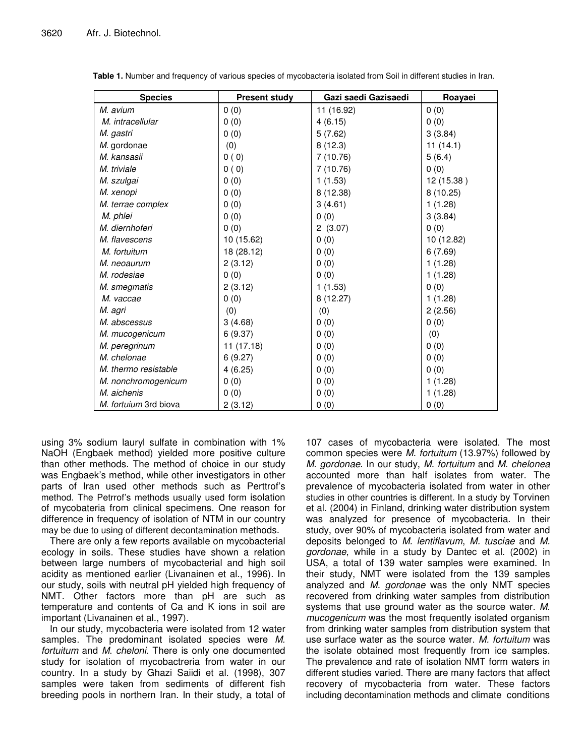| <b>Species</b>        | <b>Present study</b> | Gazi saedi Gazisaedi | Roayaei    |
|-----------------------|----------------------|----------------------|------------|
| M. avium              | 0(0)                 | 11 (16.92)           | 0(0)       |
| M. intracellular      | 0(0)                 | 4(6.15)              | 0(0)       |
| M. gastri             | 0(0)                 | 5(7.62)              | 3(3.84)    |
| M. gordonae           | (0)                  | 8(12.3)              | 11(14.1)   |
| M. kansasii           | 0(0)                 | 7(10.76)             | 5(6.4)     |
| M. triviale           | 0(0)                 | 7(10.76)             | 0(0)       |
| M. szulgai            | 0(0)                 | 1(1.53)              | 12 (15.38) |
| M. xenopi             | 0(0)                 | 8 (12.38)            | 8(10.25)   |
| M. terrae complex     | 0(0)                 | 3(4.61)              | 1(1.28)    |
| M. phlei              | 0(0)                 | 0(0)                 | 3(3.84)    |
| M. diernhoferi        | 0(0)                 | 2(3.07)              | 0(0)       |
| M. flavescens         | 10 (15.62)           | 0(0)                 | 10 (12.82) |
| M. fortuitum          | 18 (28.12)           | 0(0)                 | 6(7.69)    |
| M. neoaurum           | 2(3.12)              | 0(0)                 | 1(1.28)    |
| M. rodesiae           | 0(0)                 | 0(0)                 | 1(1.28)    |
| M. smegmatis          | 2(3.12)              | 1(1.53)              | 0(0)       |
| M. vaccae             | 0(0)                 | 8(12.27)             | 1(1.28)    |
| M. agri               | (0)                  | (0)                  | 2(2.56)    |
| M. abscessus          | 3(4.68)              | 0(0)                 | 0(0)       |
| M. mucogenicum        | 6(9.37)              | 0(0)                 | (0)        |
| M. peregrinum         | 11(17.18)            | 0(0)                 | 0(0)       |
| M. chelonae           | 6(9.27)              | 0(0)                 | 0(0)       |
| M. thermo resistable  | 4(6.25)              | 0(0)                 | 0(0)       |
| M. nonchromogenicum   | 0(0)                 | 0(0)                 | 1(1.28)    |
| M. aichenis           | 0(0)                 | 0(0)                 | 1(1.28)    |
| M. fortuium 3rd biova | 2(3.12)              | 0(0)                 | 0(0)       |

**Table 1.** Number and frequency of various species of mycobacteria isolated from Soil in different studies in Iran.

using 3% sodium lauryl sulfate in combination with 1% NaOH (Engbaek method) yielded more positive culture than other methods. The method of choice in our study was Engbaek's method, while other investigators in other parts of Iran used other methods such as Perttrof's method. The Petrrof's methods usually used form isolation of mycobateria from clinical specimens. One reason for difference in frequency of isolation of NTM in our country may be due to using of different decontamination methods.

There are only a few reports available on mycobacterial ecology in soils. These studies have shown a relation between large numbers of mycobacterial and high soil acidity as mentioned earlier (Livanainen et al., 1996). In our study, soils with neutral pH yielded high frequency of NMT. Other factors more than pH are such as temperature and contents of Ca and K ions in soil are important (Livanainen et al., 1997).

In our study, mycobacteria were isolated from 12 water samples. The predominant isolated species were *M. fortuitum* and *M*. *cheloni*. There is only one documented study for isolation of mycobactreria from water in our country. In a study by Ghazi Saiidi et al. (1998), 307 samples were taken from sediments of different fish breeding pools in northern Iran. In their study, a total of

107 cases of mycobacteria were isolated. The most common species were *M. fortuitum* (13.97%) followed by *M. gordonae*. In our study, *M. fortuitum* and *M. chelonea* accounted more than half isolates from water. The prevalence of mycobacteria isolated from water in other studies in other countries is different. In a study by Torvinen et al. (2004) in Finland, drinking water distribution system was analyzed for presence of mycobacteria. In their study, over 90% of mycobacteria isolated from water and deposits belonged to *M. lentiflavum*, *M. tusciae* and *M. gordonae*, while in a study by Dantec et al. (2002) in USA, a total of 139 water samples were examined. In their study, NMT were isolated from the 139 samples analyzed and *M. gordonae* was the only NMT species recovered from drinking water samples from distribution systems that use ground water as the source water. *M. mucogenicum* was the most frequently isolated organism from drinking water samples from distribution system that use surface water as the source water. *M. fortuitum* was the isolate obtained most frequently from ice samples. The prevalence and rate of isolation NMT form waters in different studies varied. There are many factors that affect recovery of mycobacteria from water. These factors including decontamination methods and climate conditions